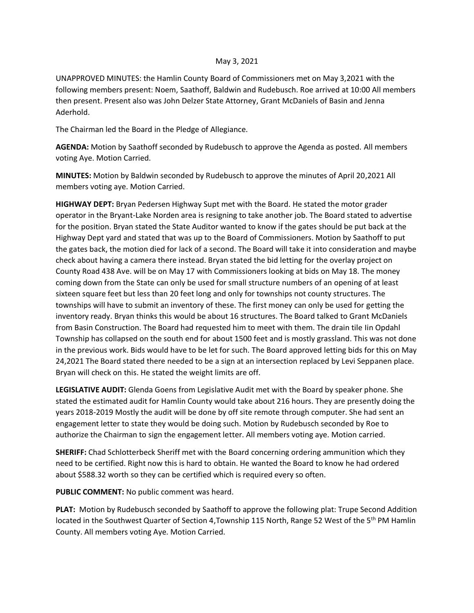## May 3, 2021

UNAPPROVED MINUTES: the Hamlin County Board of Commissioners met on May 3,2021 with the following members present: Noem, Saathoff, Baldwin and Rudebusch. Roe arrived at 10:00 All members then present. Present also was John Delzer State Attorney, Grant McDaniels of Basin and Jenna Aderhold.

The Chairman led the Board in the Pledge of Allegiance.

**AGENDA:** Motion by Saathoff seconded by Rudebusch to approve the Agenda as posted. All members voting Aye. Motion Carried.

**MINUTES:** Motion by Baldwin seconded by Rudebusch to approve the minutes of April 20,2021 All members voting aye. Motion Carried.

**HIGHWAY DEPT:** Bryan Pedersen Highway Supt met with the Board. He stated the motor grader operator in the Bryant-Lake Norden area is resigning to take another job. The Board stated to advertise for the position. Bryan stated the State Auditor wanted to know if the gates should be put back at the Highway Dept yard and stated that was up to the Board of Commissioners. Motion by Saathoff to put the gates back, the motion died for lack of a second. The Board will take it into consideration and maybe check about having a camera there instead. Bryan stated the bid letting for the overlay project on County Road 438 Ave. will be on May 17 with Commissioners looking at bids on May 18. The money coming down from the State can only be used for small structure numbers of an opening of at least sixteen square feet but less than 20 feet long and only for townships not county structures. The townships will have to submit an inventory of these. The first money can only be used for getting the inventory ready. Bryan thinks this would be about 16 structures. The Board talked to Grant McDaniels from Basin Construction. The Board had requested him to meet with them. The drain tile Iin Opdahl Township has collapsed on the south end for about 1500 feet and is mostly grassland. This was not done in the previous work. Bids would have to be let for such. The Board approved letting bids for this on May 24,2021 The Board stated there needed to be a sign at an intersection replaced by Levi Seppanen place. Bryan will check on this. He stated the weight limits are off.

**LEGISLATIVE AUDIT:** Glenda Goens from Legislative Audit met with the Board by speaker phone. She stated the estimated audit for Hamlin County would take about 216 hours. They are presently doing the years 2018-2019 Mostly the audit will be done by off site remote through computer. She had sent an engagement letter to state they would be doing such. Motion by Rudebusch seconded by Roe to authorize the Chairman to sign the engagement letter. All members voting aye. Motion carried.

**SHERIFF:** Chad Schlotterbeck Sheriff met with the Board concerning ordering ammunition which they need to be certified. Right now this is hard to obtain. He wanted the Board to know he had ordered about \$588.32 worth so they can be certified which is required every so often.

**PUBLIC COMMENT:** No public comment was heard.

**PLAT:** Motion by Rudebusch seconded by Saathoff to approve the following plat: Trupe Second Addition located in the Southwest Quarter of Section 4, Township 115 North, Range 52 West of the 5<sup>th</sup> PM Hamlin County. All members voting Aye. Motion Carried.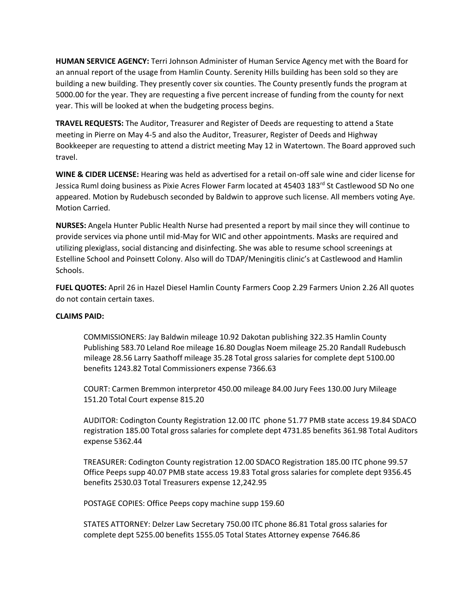**HUMAN SERVICE AGENCY:** Terri Johnson Administer of Human Service Agency met with the Board for an annual report of the usage from Hamlin County. Serenity Hills building has been sold so they are building a new building. They presently cover six counties. The County presently funds the program at 5000.00 for the year. They are requesting a five percent increase of funding from the county for next year. This will be looked at when the budgeting process begins.

**TRAVEL REQUESTS:** The Auditor, Treasurer and Register of Deeds are requesting to attend a State meeting in Pierre on May 4-5 and also the Auditor, Treasurer, Register of Deeds and Highway Bookkeeper are requesting to attend a district meeting May 12 in Watertown. The Board approved such travel.

**WINE & CIDER LICENSE:** Hearing was held as advertised for a retail on-off sale wine and cider license for Jessica Ruml doing business as Pixie Acres Flower Farm located at 45403 183rd St Castlewood SD No one appeared. Motion by Rudebusch seconded by Baldwin to approve such license. All members voting Aye. Motion Carried.

**NURSES:** Angela Hunter Public Health Nurse had presented a report by mail since they will continue to provide services via phone until mid-May for WIC and other appointments. Masks are required and utilizing plexiglass, social distancing and disinfecting. She was able to resume school screenings at Estelline School and Poinsett Colony. Also will do TDAP/Meningitis clinic's at Castlewood and Hamlin Schools.

**FUEL QUOTES:** April 26 in Hazel Diesel Hamlin County Farmers Coop 2.29 Farmers Union 2.26 All quotes do not contain certain taxes.

## **CLAIMS PAID:**

COMMISSIONERS: Jay Baldwin mileage 10.92 Dakotan publishing 322.35 Hamlin County Publishing 583.70 Leland Roe mileage 16.80 Douglas Noem mileage 25.20 Randall Rudebusch mileage 28.56 Larry Saathoff mileage 35.28 Total gross salaries for complete dept 5100.00 benefits 1243.82 Total Commissioners expense 7366.63

COURT: Carmen Bremmon interpretor 450.00 mileage 84.00 Jury Fees 130.00 Jury Mileage 151.20 Total Court expense 815.20

AUDITOR: Codington County Registration 12.00 ITC phone 51.77 PMB state access 19.84 SDACO registration 185.00 Total gross salaries for complete dept 4731.85 benefits 361.98 Total Auditors expense 5362.44

TREASURER: Codington County registration 12.00 SDACO Registration 185.00 ITC phone 99.57 Office Peeps supp 40.07 PMB state access 19.83 Total gross salaries for complete dept 9356.45 benefits 2530.03 Total Treasurers expense 12,242.95

POSTAGE COPIES: Office Peeps copy machine supp 159.60

STATES ATTORNEY: Delzer Law Secretary 750.00 ITC phone 86.81 Total gross salaries for complete dept 5255.00 benefits 1555.05 Total States Attorney expense 7646.86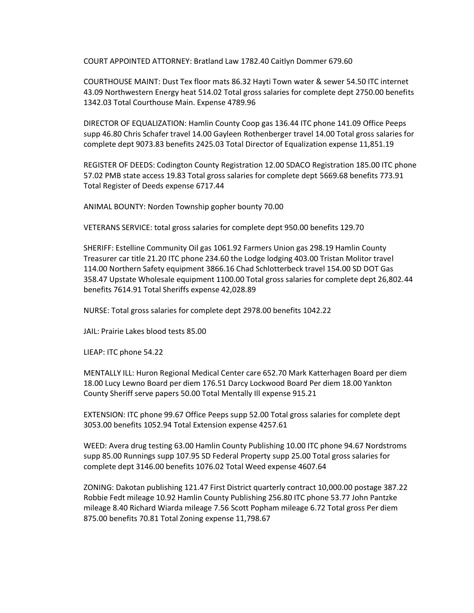COURT APPOINTED ATTORNEY: Bratland Law 1782.40 Caitlyn Dommer 679.60

COURTHOUSE MAINT: Dust Tex floor mats 86.32 Hayti Town water & sewer 54.50 ITC internet 43.09 Northwestern Energy heat 514.02 Total gross salaries for complete dept 2750.00 benefits 1342.03 Total Courthouse Main. Expense 4789.96

DIRECTOR OF EQUALIZATION: Hamlin County Coop gas 136.44 ITC phone 141.09 Office Peeps supp 46.80 Chris Schafer travel 14.00 Gayleen Rothenberger travel 14.00 Total gross salaries for complete dept 9073.83 benefits 2425.03 Total Director of Equalization expense 11,851.19

REGISTER OF DEEDS: Codington County Registration 12.00 SDACO Registration 185.00 ITC phone 57.02 PMB state access 19.83 Total gross salaries for complete dept 5669.68 benefits 773.91 Total Register of Deeds expense 6717.44

ANIMAL BOUNTY: Norden Township gopher bounty 70.00

VETERANS SERVICE: total gross salaries for complete dept 950.00 benefits 129.70

SHERIFF: Estelline Community Oil gas 1061.92 Farmers Union gas 298.19 Hamlin County Treasurer car title 21.20 ITC phone 234.60 the Lodge lodging 403.00 Tristan Molitor travel 114.00 Northern Safety equipment 3866.16 Chad Schlotterbeck travel 154.00 SD DOT Gas 358.47 Upstate Wholesale equipment 1100.00 Total gross salaries for complete dept 26,802.44 benefits 7614.91 Total Sheriffs expense 42,028.89

NURSE: Total gross salaries for complete dept 2978.00 benefits 1042.22

JAIL: Prairie Lakes blood tests 85.00

LIEAP: ITC phone 54.22

MENTALLY ILL: Huron Regional Medical Center care 652.70 Mark Katterhagen Board per diem 18.00 Lucy Lewno Board per diem 176.51 Darcy Lockwood Board Per diem 18.00 Yankton County Sheriff serve papers 50.00 Total Mentally Ill expense 915.21

EXTENSION: ITC phone 99.67 Office Peeps supp 52.00 Total gross salaries for complete dept 3053.00 benefits 1052.94 Total Extension expense 4257.61

WEED: Avera drug testing 63.00 Hamlin County Publishing 10.00 ITC phone 94.67 Nordstroms supp 85.00 Runnings supp 107.95 SD Federal Property supp 25.00 Total gross salaries for complete dept 3146.00 benefits 1076.02 Total Weed expense 4607.64

ZONING: Dakotan publishing 121.47 First District quarterly contract 10,000.00 postage 387.22 Robbie Fedt mileage 10.92 Hamlin County Publishing 256.80 ITC phone 53.77 John Pantzke mileage 8.40 Richard Wiarda mileage 7.56 Scott Popham mileage 6.72 Total gross Per diem 875.00 benefits 70.81 Total Zoning expense 11,798.67